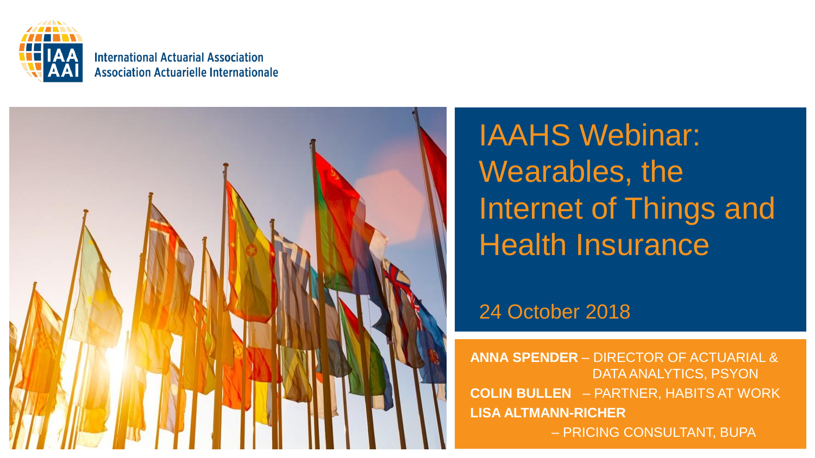

#### **International Actuarial Association Association Actuarielle Internationale**



IAAHS Webinar: Wearables, the Internet of Things and Health Insurance

### 24 October 2018

**ANNA SPENDER** – DIRECTOR OF ACTUARIAL & DATA ANALYTICS, PSYON **COLIN BULLEN** – PARTNER, HABITS AT WORK **LISA ALTMANN-RICHER**  – PRICING CONSULTANT, BUPA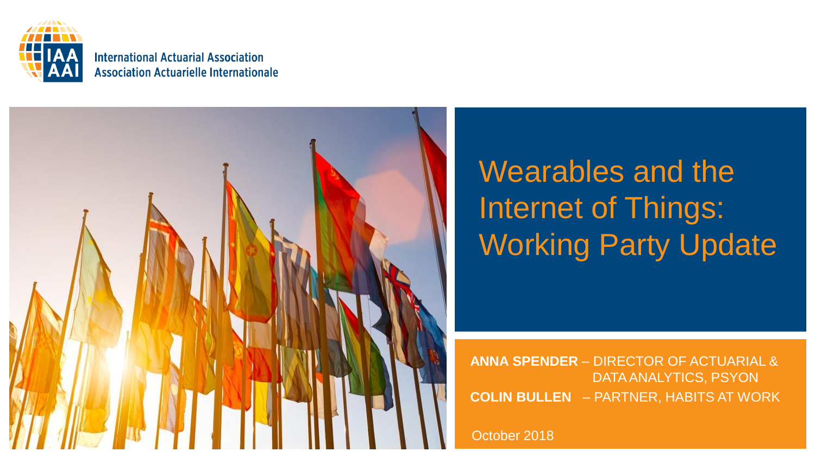

#### **International Actuarial Association Association Actuarielle Internationale**



# Wearables and the Internet of Things: Working Party Update

**ANNA SPENDER** – DIRECTOR OF ACTUARIAL & DATA ANALYTICS, PSYON **COLIN BULLEN** – PARTNER, HABITS AT WORK

October 2018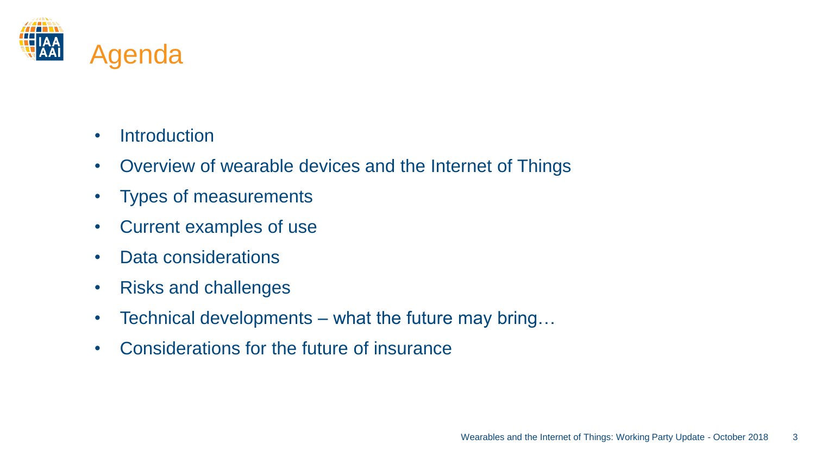

- Introduction
- Overview of wearable devices and the Internet of Things
- Types of measurements
- Current examples of use
- Data considerations
- Risks and challenges
- Technical developments what the future may bring...
- Considerations for the future of insurance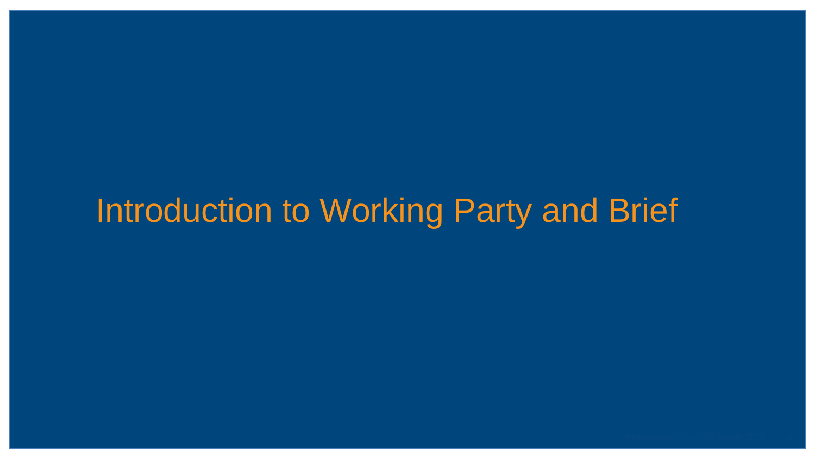## Introduction to Working Party and Brief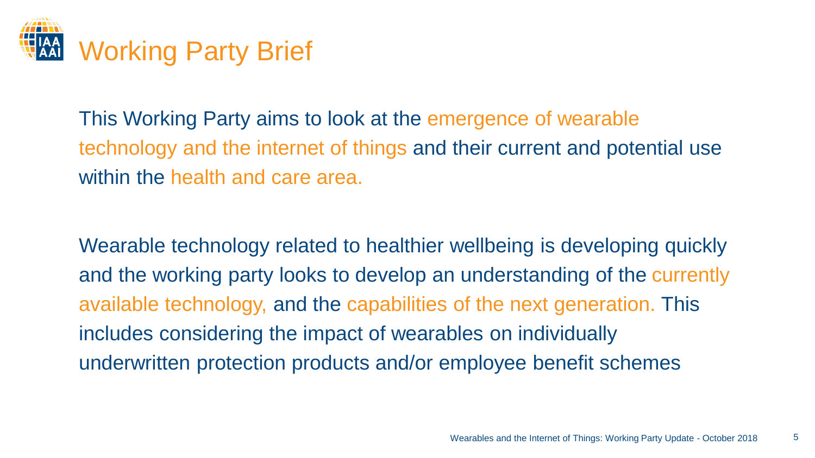

This Working Party aims to look at the emergence of wearable technology and the internet of things and their current and potential use within the health and care area.

Wearable technology related to healthier wellbeing is developing quickly and the working party looks to develop an understanding of the currently available technology, and the capabilities of the next generation. This includes considering the impact of wearables on individually underwritten protection products and/or employee benefit schemes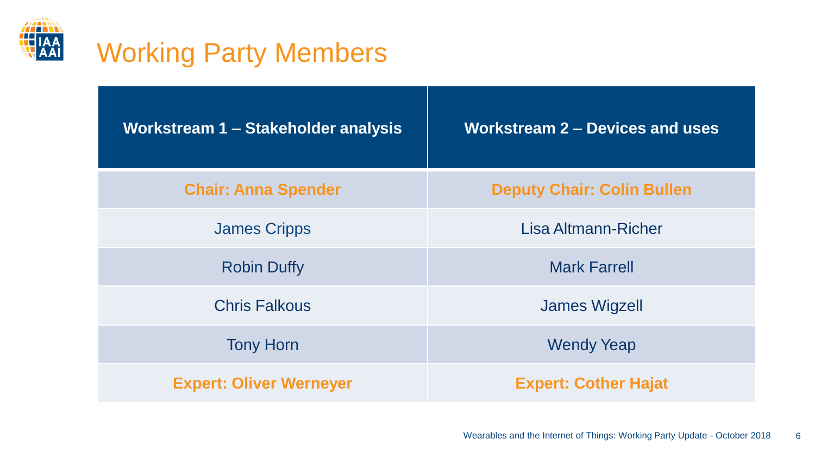

## Working Party Members

| Workstream 1 - Stakeholder analysis | <b>Workstream 2 - Devices and uses</b> |  |  |  |
|-------------------------------------|----------------------------------------|--|--|--|
| <b>Chair: Anna Spender</b>          | <b>Deputy Chair: Colin Bullen</b>      |  |  |  |
| <b>James Cripps</b>                 | Lisa Altmann-Richer                    |  |  |  |
| <b>Robin Duffy</b>                  | <b>Mark Farrell</b>                    |  |  |  |
| <b>Chris Falkous</b>                | <b>James Wigzell</b>                   |  |  |  |
| <b>Tony Horn</b>                    | <b>Wendy Yeap</b>                      |  |  |  |
| <b>Expert: Oliver Werneyer</b>      | <b>Expert: Cother Hajat</b>            |  |  |  |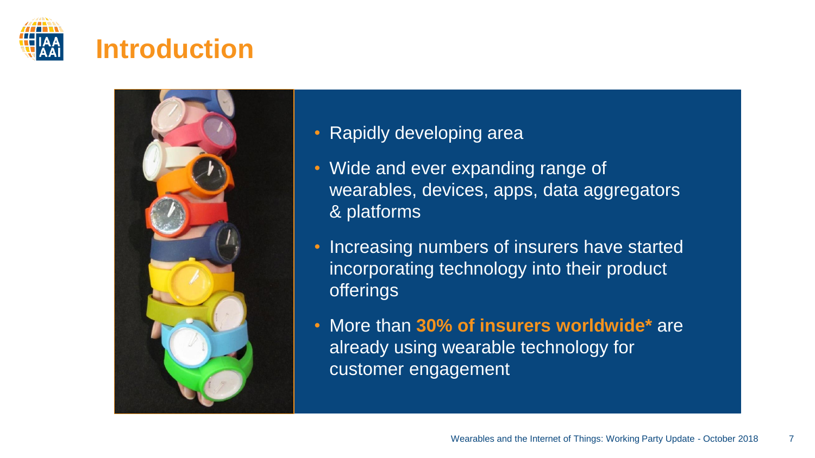



- Rapidly developing area
- Wide and ever expanding range of wearables, devices, apps, data aggregators & platforms
- Increasing numbers of insurers have started incorporating technology into their product offerings
- More than **30% of insurers worldwide\*** are already using wearable technology for customer engagement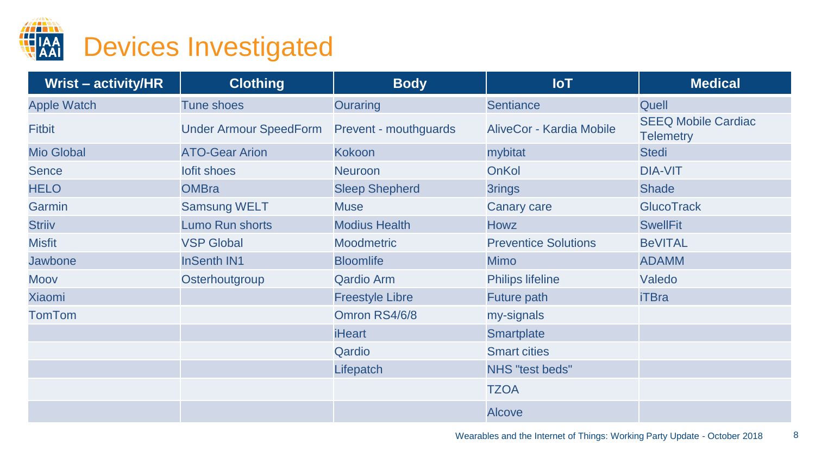

| <b>Wrist - activity/HR</b> | <b>Clothing</b>               | <b>Body</b>            | <b>IoT</b>                  | <b>Medical</b>    |
|----------------------------|-------------------------------|------------------------|-----------------------------|-------------------|
| <b>Apple Watch</b>         | <b>Tune shoes</b>             | Ouraring               | <b>Sentiance</b>            | Quell             |
| <b>Fitbit</b>              | <b>Under Armour SpeedForm</b> | Prevent - mouthguards  | AliveCor - Kardia Mobile    |                   |
| <b>Mio Global</b>          | <b>ATO-Gear Arion</b>         | <b>Kokoon</b>          | mybitat                     | <b>Stedi</b>      |
| <b>Sence</b>               | lofit shoes                   | <b>Neuroon</b>         | OnKol                       | <b>DIA-VIT</b>    |
| <b>HELO</b>                | <b>OMBra</b>                  | <b>Sleep Shepherd</b>  | 3rings                      | <b>Shade</b>      |
| Garmin                     | <b>Samsung WELT</b>           | <b>Muse</b>            | Canary care                 | <b>GlucoTrack</b> |
| <b>Striiv</b>              | Lumo Run shorts               | <b>Modius Health</b>   | <b>Howz</b>                 | <b>SwellFit</b>   |
| <b>Misfit</b>              | <b>VSP Global</b>             | <b>Moodmetric</b>      | <b>Preventice Solutions</b> | <b>BeVITAL</b>    |
| <b>Jawbone</b>             | <b>InSenth IN1</b>            | <b>Bloomlife</b>       | <b>Mimo</b>                 | <b>ADAMM</b>      |
| Moov                       | Osterhoutgroup                | <b>Qardio Arm</b>      | <b>Philips lifeline</b>     | Valedo            |
| <b>Xiaomi</b>              |                               | <b>Freestyle Libre</b> | Future path                 | <b>iTBra</b>      |
| <b>TomTom</b>              |                               | Omron RS4/6/8          | my-signals                  |                   |
|                            |                               | <b>iHeart</b>          | Smartplate                  |                   |
|                            |                               | Qardio                 | <b>Smart cities</b>         |                   |
|                            |                               | Lifepatch              | NHS "test beds"             |                   |
|                            |                               |                        | <b>TZOA</b>                 |                   |
|                            |                               |                        | <b>Alcove</b>               |                   |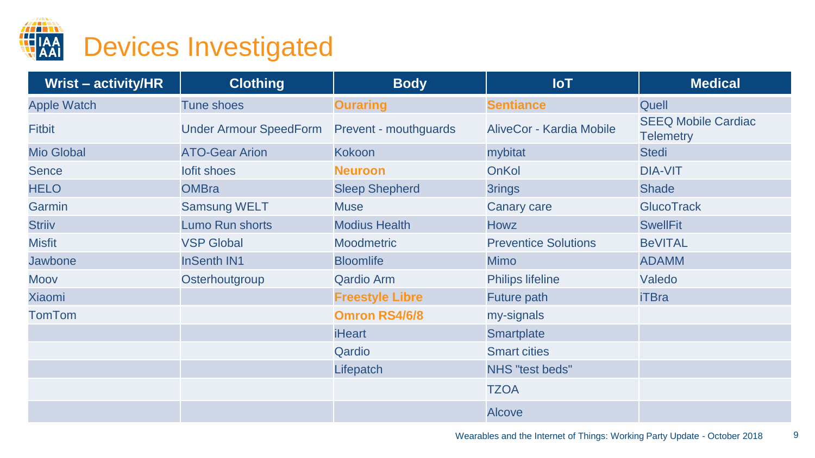

| <b>Wrist - activity/HR</b> | <b>Clothing</b>               | <b>Body</b>            | <b>IoT</b>                  | <b>Medical</b>    |
|----------------------------|-------------------------------|------------------------|-----------------------------|-------------------|
| <b>Apple Watch</b>         | <b>Tune shoes</b>             | <b>Ouraring</b>        | <b>Sentiance</b>            | Quell             |
| <b>Fitbit</b>              | <b>Under Armour SpeedForm</b> | Prevent - mouthguards  | AliveCor - Kardia Mobile    |                   |
| <b>Mio Global</b>          | <b>ATO-Gear Arion</b>         | <b>Kokoon</b>          | mybitat                     | <b>Stedi</b>      |
| <b>Sence</b>               | lofit shoes                   | <b>Neuroon</b>         | OnKol                       | <b>DIA-VIT</b>    |
| <b>HELO</b>                | <b>OMBra</b>                  | <b>Sleep Shepherd</b>  | 3rings                      | <b>Shade</b>      |
| Garmin                     | <b>Samsung WELT</b>           | <b>Muse</b>            | Canary care                 | <b>GlucoTrack</b> |
| <b>Striiv</b>              | Lumo Run shorts               | <b>Modius Health</b>   | <b>Howz</b>                 | <b>SwellFit</b>   |
| <b>Misfit</b>              | <b>VSP Global</b>             | <b>Moodmetric</b>      | <b>Preventice Solutions</b> | <b>BeVITAL</b>    |
| <b>Jawbone</b>             | <b>InSenth IN1</b>            | <b>Bloomlife</b>       | <b>Mimo</b>                 | <b>ADAMM</b>      |
| <b>Moov</b>                | Osterhoutgroup                | <b>Qardio Arm</b>      | Philips lifeline            | Valedo            |
| <b>Xiaomi</b>              |                               | <b>Freestyle Libre</b> | Future path                 | <b>iTBra</b>      |
| <b>TomTom</b>              |                               | <b>Omron RS4/6/8</b>   | my-signals                  |                   |
|                            |                               | <b>iHeart</b>          | Smartplate                  |                   |
|                            |                               | Qardio                 | <b>Smart cities</b>         |                   |
|                            |                               | Lifepatch              | NHS "test beds"             |                   |
|                            |                               |                        | <b>TZOA</b>                 |                   |
|                            |                               |                        | <b>Alcove</b>               |                   |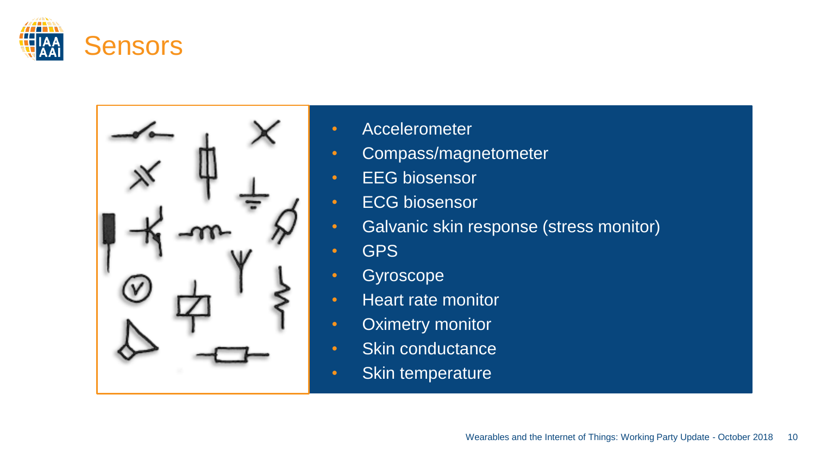



- Accelerometer
- Compass/magnetometer
- EEG biosensor
- ECG biosensor
- Galvanic skin response (stress monitor)
- GPS
- Gyroscope
- Heart rate monitor
- Oximetry monitor
- Skin conductance
- Skin temperature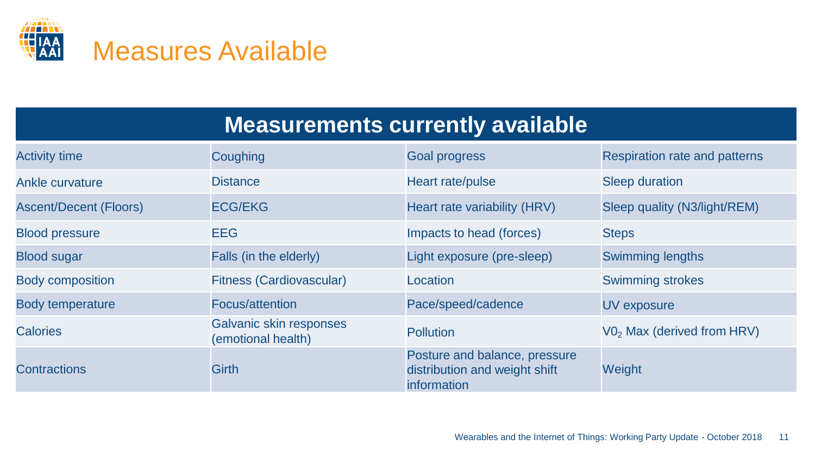

## **Measurements currently available**

| <b>Activity time</b>          | Coughing                                      | <b>Goal progress</b>                                                          | Respiration rate and patterns          |
|-------------------------------|-----------------------------------------------|-------------------------------------------------------------------------------|----------------------------------------|
| Ankle curvature               | <b>Distance</b>                               | Heart rate/pulse                                                              | <b>Sleep duration</b>                  |
| <b>Ascent/Decent (Floors)</b> | <b>ECG/EKG</b>                                | Heart rate variability (HRV)                                                  | Sleep quality (N3/light/REM)           |
| <b>Blood pressure</b>         | <b>EEG</b>                                    | Impacts to head (forces)                                                      | <b>Steps</b>                           |
| <b>Blood sugar</b>            | Falls (in the elderly)                        | Light exposure (pre-sleep)                                                    | <b>Swimming lengths</b>                |
| <b>Body composition</b>       | <b>Fitness (Cardiovascular)</b>               | Location                                                                      | <b>Swimming strokes</b>                |
| <b>Body temperature</b>       | Focus/attention                               | Pace/speed/cadence                                                            | UV exposure                            |
| <b>Calories</b>               | Galvanic skin responses<br>(emotional health) | <b>Pollution</b>                                                              | V0 <sub>2</sub> Max (derived from HRV) |
| Contractions                  | <b>Girth</b>                                  | Posture and balance, pressure<br>distribution and weight shift<br>information | Weight                                 |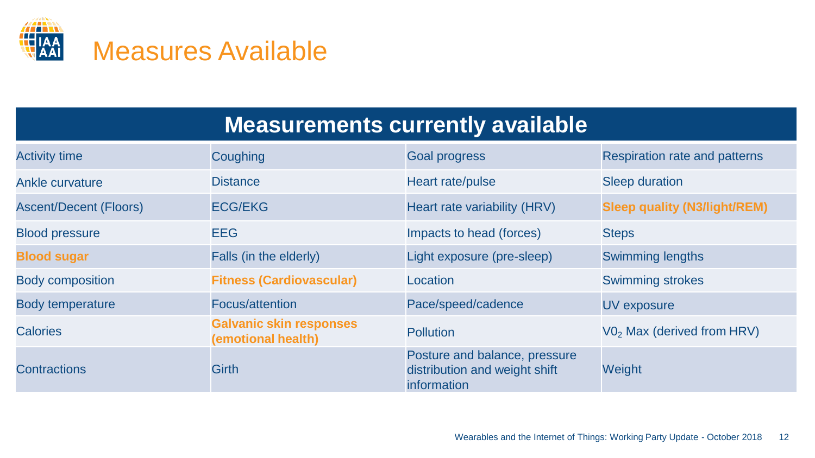

## **Measurements currently available**

| <b>Activity time</b>          | Coughing                                             | <b>Goal progress</b>                                                          | <b>Respiration rate and patterns</b>   |
|-------------------------------|------------------------------------------------------|-------------------------------------------------------------------------------|----------------------------------------|
| Ankle curvature               | <b>Distance</b>                                      | Heart rate/pulse                                                              | <b>Sleep duration</b>                  |
| <b>Ascent/Decent (Floors)</b> | <b>ECG/EKG</b>                                       | Heart rate variability (HRV)                                                  | <b>Sleep quality (N3/light/REM)</b>    |
| <b>Blood pressure</b>         | <b>EEG</b>                                           | Impacts to head (forces)                                                      | <b>Steps</b>                           |
| <b>Blood sugar</b>            | Falls (in the elderly)                               | Light exposure (pre-sleep)                                                    | <b>Swimming lengths</b>                |
| <b>Body composition</b>       | <b>Fitness (Cardiovascular)</b>                      | Location                                                                      | <b>Swimming strokes</b>                |
| <b>Body temperature</b>       | Focus/attention                                      | Pace/speed/cadence                                                            | <b>UV</b> exposure                     |
| <b>Calories</b>               | <b>Galvanic skin responses</b><br>(emotional health) | <b>Pollution</b>                                                              | V0 <sub>2</sub> Max (derived from HRV) |
| Contractions                  | <b>Girth</b>                                         | Posture and balance, pressure<br>distribution and weight shift<br>information | Weight                                 |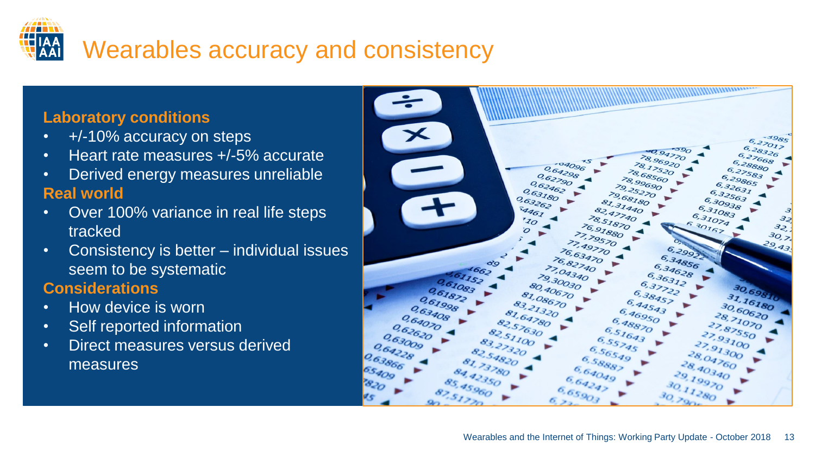

#### **Laboratory conditions**

- +/-10% accuracy on steps
- Heart rate measures +/-5% accurate
- Derived energy measures unreliable **Real world**
- Over 100% variance in real life steps tracked
- Consistency is better individual issues seem to be systematic

#### **Considerations**

- How device is worn
- Self reported information
- Direct measures versus derived measures

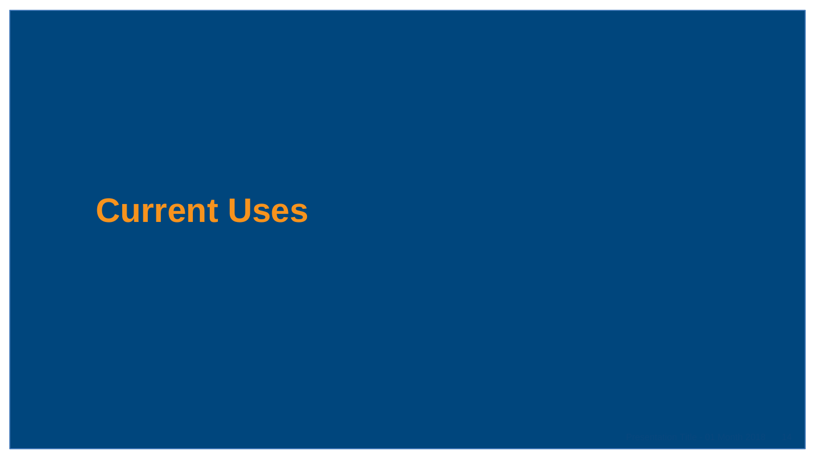## **Current Uses**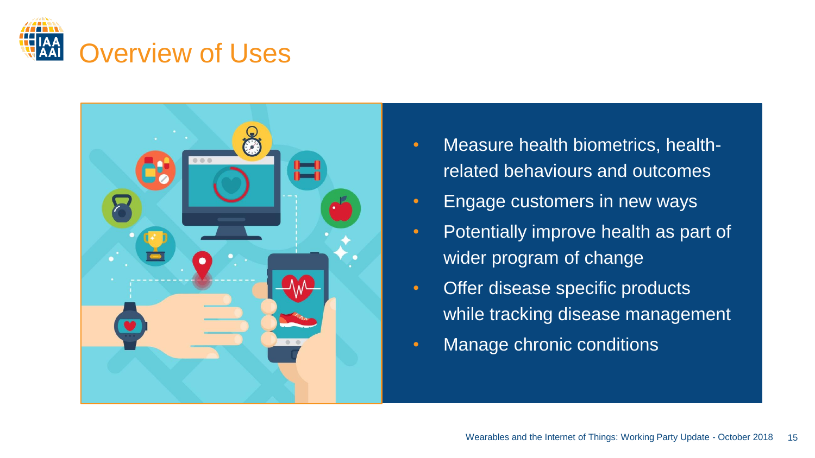



- Measure health biometrics, healthrelated behaviours and outcomes
- Engage customers in new ways
- Potentially improve health as part of wider program of change
- Offer disease specific products while tracking disease management
- Manage chronic conditions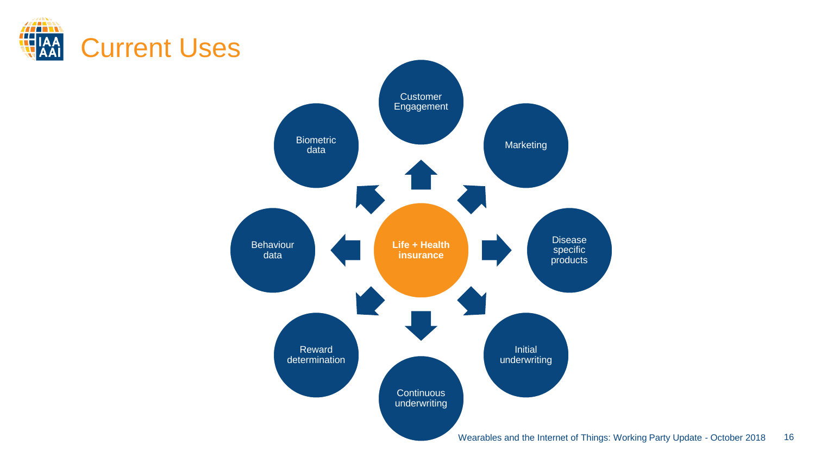



16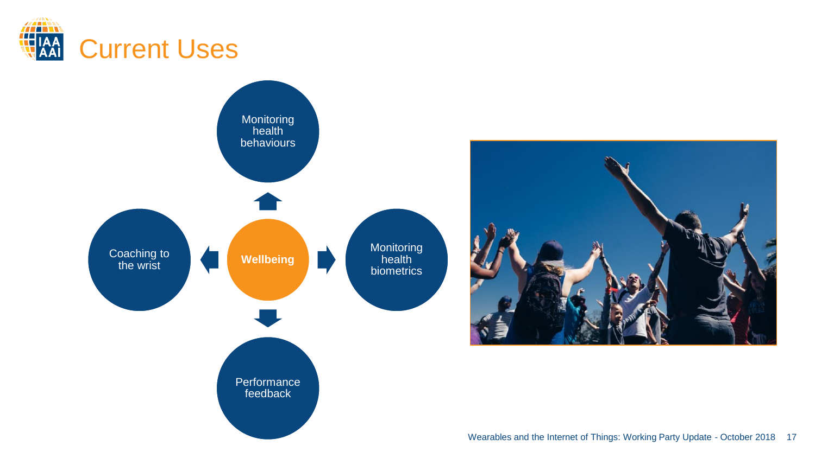



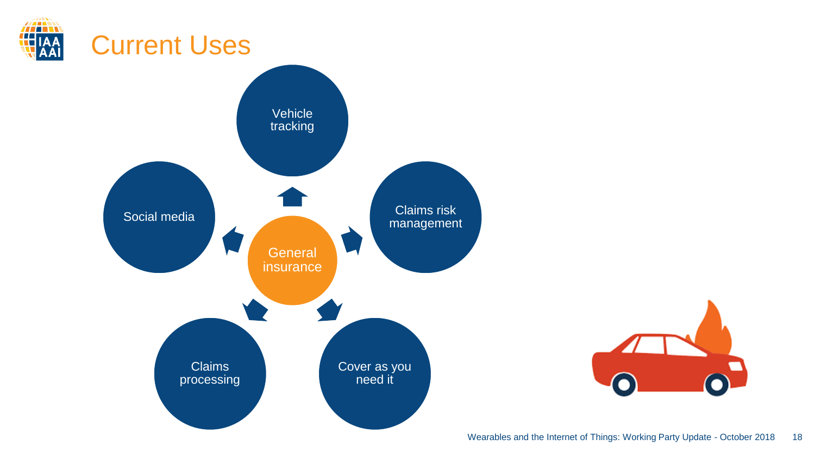



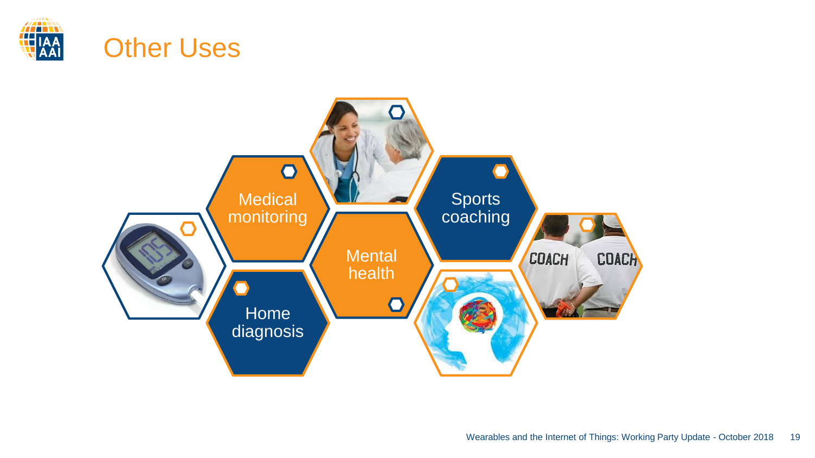

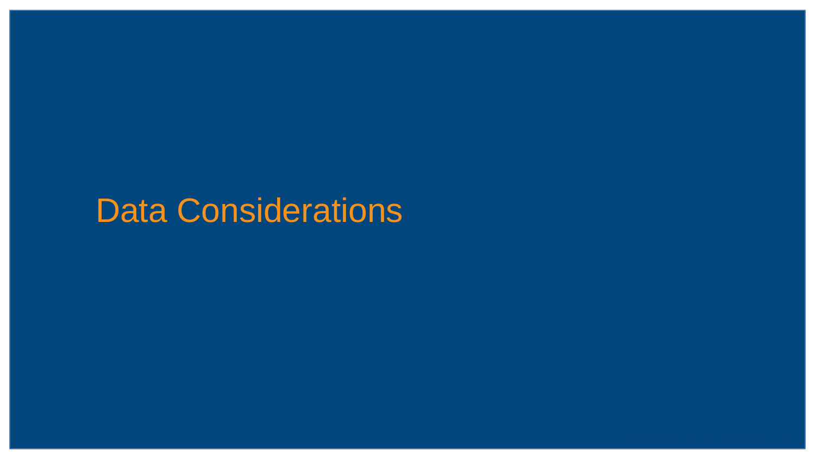## Data Considerations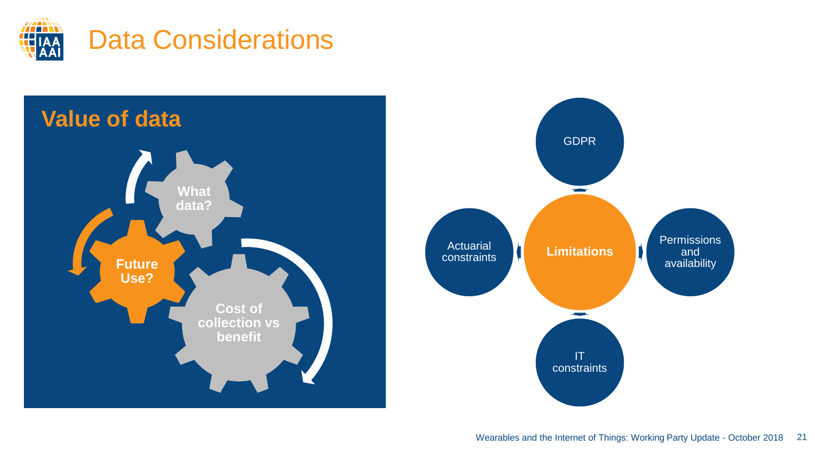



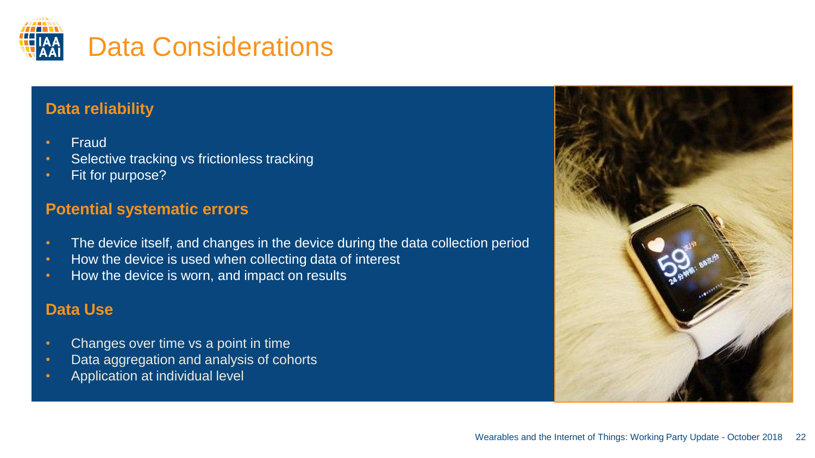

#### **Data reliability**

- Fraud
- Selective tracking vs frictionless tracking
- Fit for purpose?

#### **Potential systematic errors**

- The device itself, and changes in the device during the data collection period
- How the device is used when collecting data of interest
- How the device is worn, and impact on results

#### **Data Use**

- Changes over time vs a point in time
- Data aggregation and analysis of cohorts
- Application at individual level

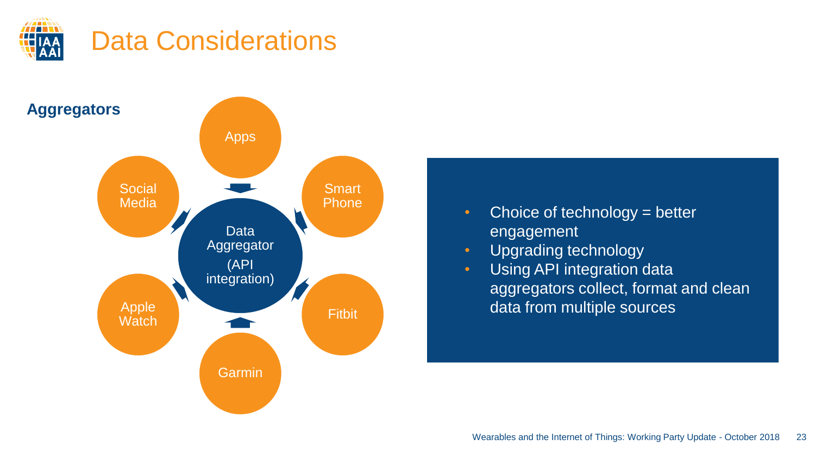



- Choice of technology = better engagement
- Upgrading technology
- Using API integration data aggregators collect, format and clean data from multiple sources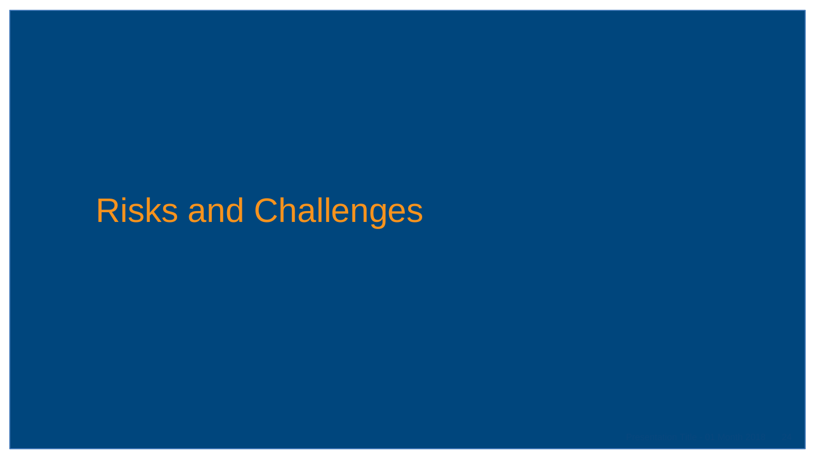# Risks and Challenges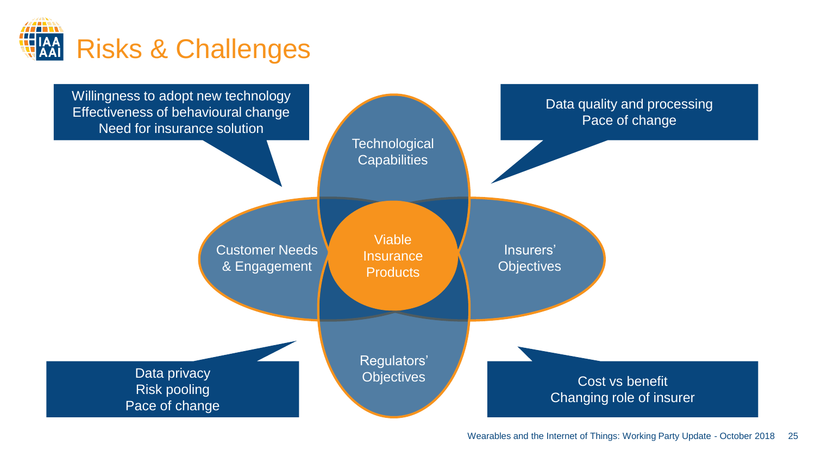

Viable **Insurance Products Technological Capabilities** Regulators' **Objectives** Insurers' **Objectives** Customer Needs & Engagement Data quality and processing Pace of change Cost vs benefit Changing role of insurer Data privacy Risk pooling Pace of change Willingness to adopt new technology Effectiveness of behavioural change Need for insurance solution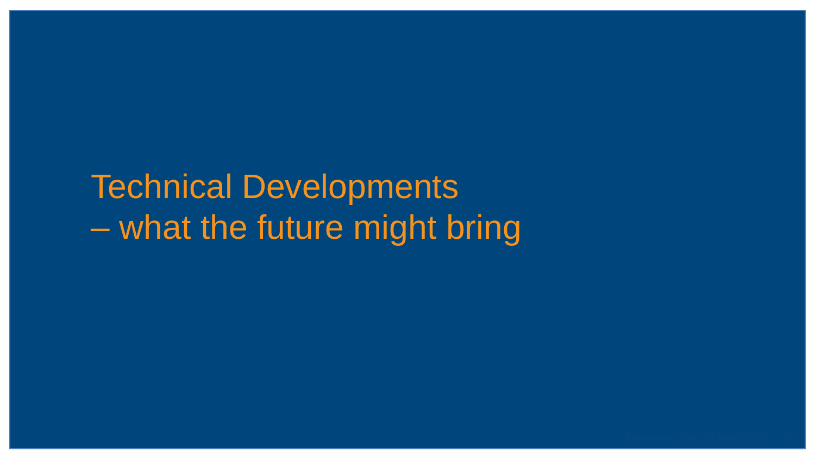# Technical Developments – what the future might bring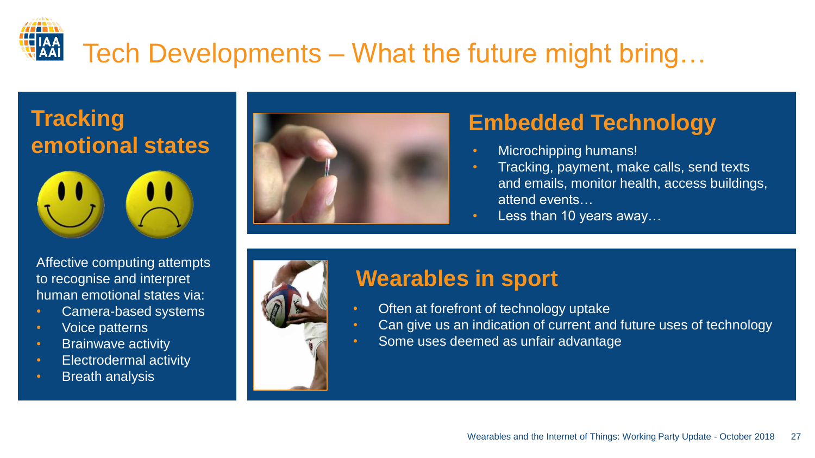# Tech Developments – What the future might bring…







## **Embedded Technology**

- Microchipping humans!
- Tracking, payment, make calls, send texts and emails, monitor health, access buildings, attend events…
- Less than 10 years away...

Affective computing attempts to recognise and interpret human emotional states via:

- Camera-based systems
- Voice patterns
- Brainwave activity
- Electrodermal activity
- Breath analysis



## **Wearables in sport**

- Often at forefront of technology uptake
	- Can give us an indication of current and future uses of technology
- Some uses deemed as unfair advantage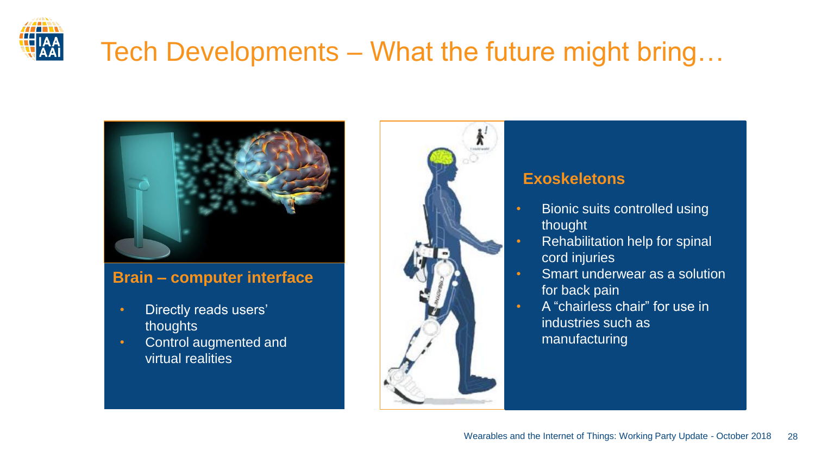

## Tech Developments – What the future might bring…



#### **Brain – computer interface**

- Directly reads users' thoughts
- Control augmented and virtual realities



#### **Exoskeletons**

- Bionic suits controlled using thought
	- Rehabilitation help for spinal cord injuries
- Smart underwear as a solution for back pain
- A "chairless chair" for use in industries such as manufacturing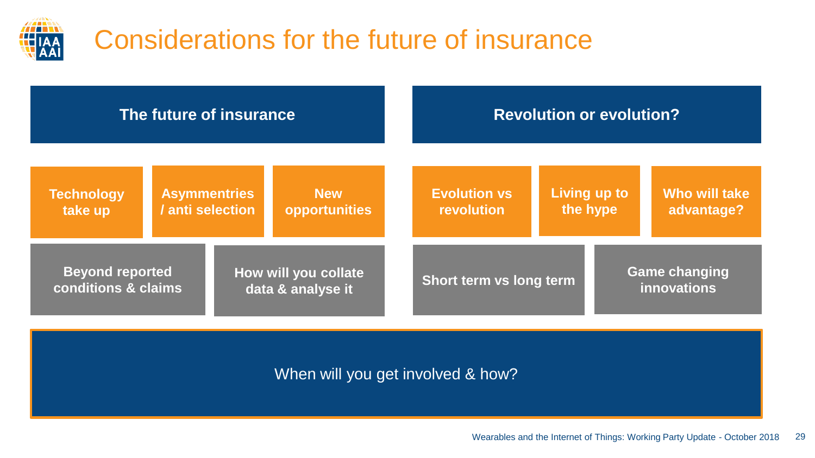

## Considerations for the future of insurance

| The future of insurance                                                                    |                                                                        | <b>Revolution or evolution?</b> |                                   |                                     |  |                             |
|--------------------------------------------------------------------------------------------|------------------------------------------------------------------------|---------------------------------|-----------------------------------|-------------------------------------|--|-----------------------------|
| <b>Technology</b><br>take up                                                               | <b>Asymmentries</b><br><b>New</b><br>/ anti selection<br>opportunities |                                 | <b>Evolution vs</b><br>revolution | Living up to<br>the hype            |  | Who will take<br>advantage? |
| <b>Beyond reported</b><br>How will you collate<br>conditions & claims<br>data & analyse it |                                                                        | Short term vs long term         |                                   | <b>Game changing</b><br>innovations |  |                             |

When will you get involved & how?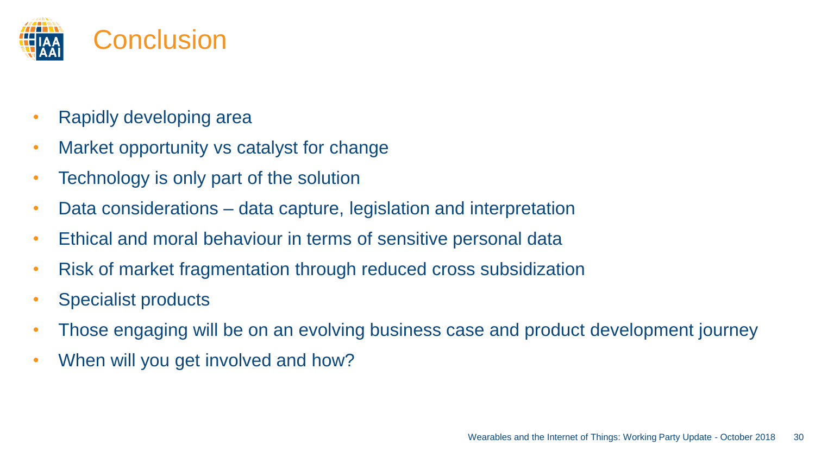

- Rapidly developing area
- Market opportunity vs catalyst for change
- Technology is only part of the solution
- Data considerations data capture, legislation and interpretation
- Ethical and moral behaviour in terms of sensitive personal data
- Risk of market fragmentation through reduced cross subsidization
- Specialist products
- Those engaging will be on an evolving business case and product development journey
- When will you get involved and how?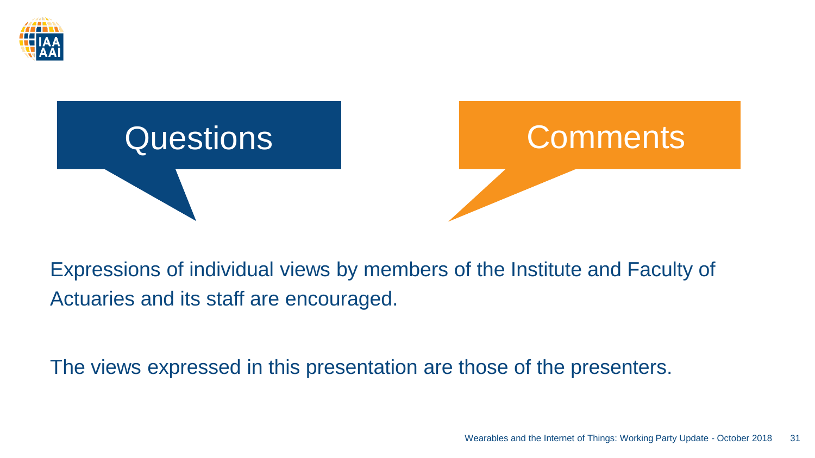



Expressions of individual views by members of the Institute and Faculty of Actuaries and its staff are encouraged.

The views expressed in this presentation are those of the presenters.